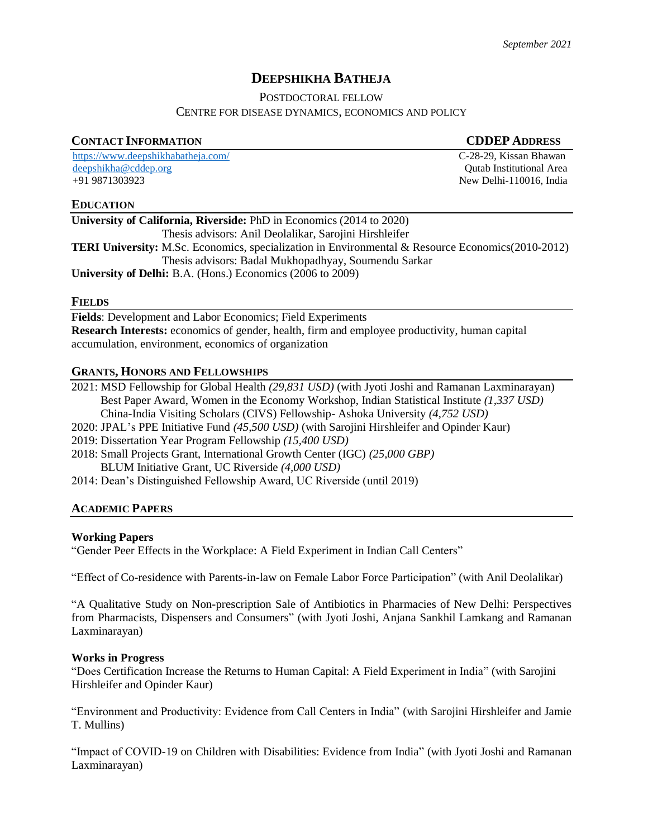# **DEEPSHIKHA BATHEJA**

#### POSTDOCTORAL FELLOW CENTRE FOR DISEASE DYNAMICS, ECONOMICS AND POLICY

#### **CONTACT INFORMATION CDDEP ADDRESS** <https://www.deepshikhabatheja.com/> [deepshikha@cddep.org](mailto:shirshleifer@ucsd.edu) +91 9871303923 C-28-29, Kissan Bhawan Qutab Institutional Area New Delhi-110016, India

#### **EDUCATION**

**University of California, Riverside:** PhD in Economics (2014 to 2020) Thesis advisors: Anil Deolalikar, Sarojini Hirshleifer

**TERI University:** M.Sc. Economics, specialization in Environmental & Resource Economics(2010-2012) Thesis advisors: Badal Mukhopadhyay, Soumendu Sarkar

**University of Delhi:** B.A. (Hons.) Economics (2006 to 2009)

#### **FIELDS**

**Fields**: Development and Labor Economics; Field Experiments **Research Interests:** economics of gender, health, firm and employee productivity, human capital accumulation, environment, economics of organization

#### **GRANTS, HONORS AND FELLOWSHIPS**

2021: MSD Fellowship for Global Health *(29,831 USD)* (with Jyoti Joshi and Ramanan Laxminarayan) Best Paper Award, Women in the Economy Workshop, Indian Statistical Institute *(1,337 USD)* China-India Visiting Scholars (CIVS) Fellowship- Ashoka University *(4,752 USD)* 2020: JPAL's PPE Initiative Fund *(45,500 USD)* (with Sarojini Hirshleifer and Opinder Kaur) 2019: Dissertation Year Program Fellowship *(15,400 USD)* 2018: Small Projects Grant, International Growth Center (IGC) *(25,000 GBP)* BLUM Initiative Grant, UC Riverside *(4,000 USD)* 2014: Dean's Distinguished Fellowship Award, UC Riverside (until 2019)

#### **ACADEMIC PAPERS**

#### **Working Papers**

"Gender Peer Effects in the Workplace: A Field Experiment in Indian Call Centers"

"Effect of Co-residence with Parents-in-law on Female Labor Force Participation" (with Anil Deolalikar)

"A Qualitative Study on Non-prescription Sale of Antibiotics in Pharmacies of New Delhi: Perspectives from Pharmacists, Dispensers and Consumers" (with Jyoti Joshi, Anjana Sankhil Lamkang and Ramanan Laxminarayan)

#### **Works in Progress**

"Does Certification Increase the Returns to Human Capital: A Field Experiment in India" (with Sarojini Hirshleifer and Opinder Kaur)

"Environment and Productivity: Evidence from Call Centers in India" (with Sarojini Hirshleifer and Jamie T. Mullins)

"Impact of COVID-19 on Children with Disabilities: Evidence from India" (with Jyoti Joshi and Ramanan Laxminarayan)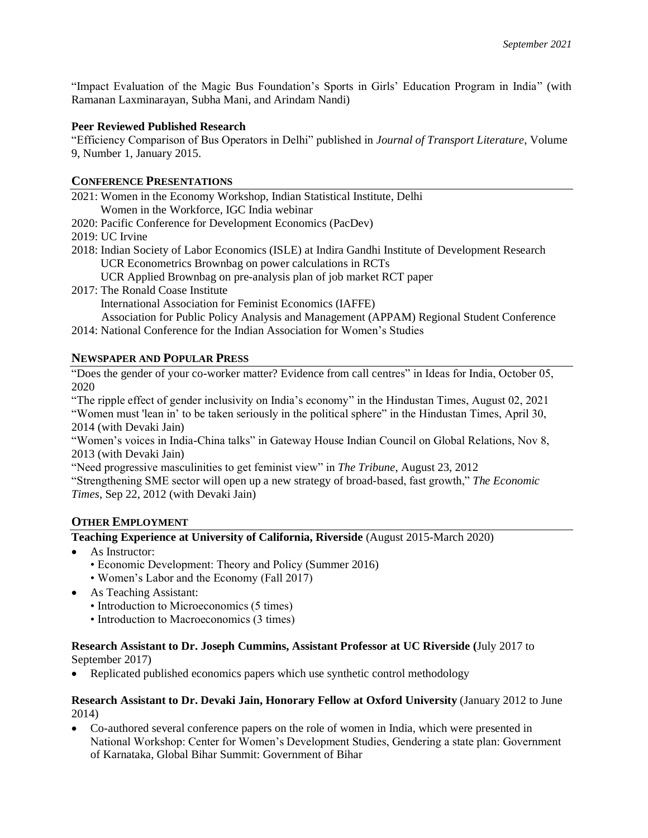"Impact Evaluation of the Magic Bus Foundation's Sports in Girls' Education Program in India" (with Ramanan Laxminarayan, Subha Mani, and Arindam Nandi)

#### **Peer Reviewed Published Research**

"Efficiency Comparison of Bus Operators in Delhi" published in *Journal of Transport Literature*, Volume 9, Number 1, January 2015.

#### **CONFERENCE PRESENTATIONS**

2021: Women in the Economy Workshop, Indian Statistical Institute, Delhi Women in the Workforce, IGC India webinar 2020: Pacific Conference for Development Economics (PacDev) 2019: UC Irvine 2018: Indian Society of Labor Economics (ISLE) at Indira Gandhi Institute of Development Research UCR Econometrics Brownbag on power calculations in RCTs UCR Applied Brownbag on pre-analysis plan of job market RCT paper 2017: The Ronald Coase Institute

 International Association for Feminist Economics (IAFFE) Association for Public Policy Analysis and Management (APPAM) Regional Student Conference 2014: National Conference for the Indian Association for Women's Studies

# **NEWSPAPER AND POPULAR PRESS**

"Does the gender of your co-worker matter? Evidence from call centres" in Ideas for India, October 05, 2020

"The ripple effect of gender inclusivity on India's economy" in the Hindustan Times, August 02, 2021

"Women must 'lean in' to be taken seriously in the political sphere" in the Hindustan Times, April 30, 2014 (with Devaki Jain)

"Women's voices in India-China talks" in Gateway House Indian Council on Global Relations, Nov 8, 2013 (with Devaki Jain)

"Need progressive masculinities to get feminist view" in *The Tribune*, August 23, 2012

"Strengthening SME sector will open up a new strategy of broad-based, fast growth," *The Economic Times*, Sep 22, 2012 (with Devaki Jain)

#### **OTHER EMPLOYMENT**

### **Teaching Experience at University of California, Riverside** (August 2015-March 2020)

- As Instructor:
	- Economic Development: Theory and Policy (Summer 2016)
	- Women's Labor and the Economy (Fall 2017)
- As Teaching Assistant:
	- Introduction to Microeconomics (5 times)
	- Introduction to Macroeconomics (3 times)

#### **Research Assistant to Dr. Joseph Cummins, Assistant Professor at UC Riverside (**July 2017 to September 2017)

• Replicated published economics papers which use synthetic control methodology

#### **Research Assistant to Dr. Devaki Jain, Honorary Fellow at Oxford University** (January 2012 to June 2014)

• Co-authored several conference papers on the role of women in India, which were presented in National Workshop: Center for Women's Development Studies, Gendering a state plan: Government of Karnataka, Global Bihar Summit: Government of Bihar